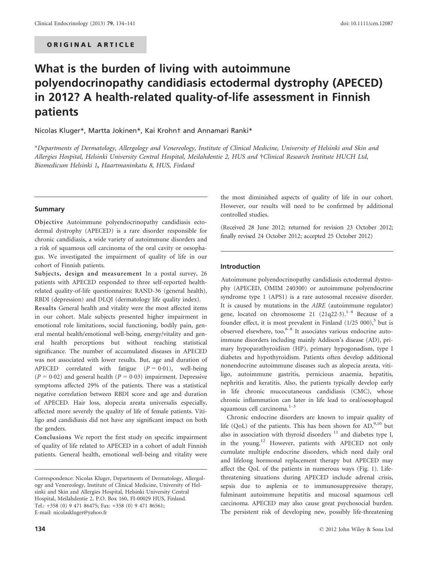# What is the burden of living with autoimmune polyendocrinopathy candidiasis ectodermal dystrophy (APECED) in 2012? A health-related quality-of-life assessment in Finnish patients

Nicolas Kluger\*, Martta Jokinen\*, Kai Krohn† and Annamari Ranki\*

\*Departments of Dermatology, Allergology and Venereology, Institute of Clinical Medicine, University of Helsinki and Skin and Allergies Hospital, Helsinki University Central Hospital, Meilahdentie 2, HUS and †Clinical Research Institute HUCH Ltd, Biomedicum Helsinki 1, Haartmaninkatu 8, HUS, Finland

## Summary

Objective Autoimmune polyendocrinopathy candidiasis ectodermal dystrophy (APECED) is a rare disorder responsible for chronic candidiasis, a wide variety of autoimmune disorders and a risk of squamous cell carcinoma of the oral cavity or oesophagus. We investigated the impairment of quality of life in our cohort of Finnish patients.

Subjects, design and measurement In a postal survey, 26 patients with APECED responded to three self-reported healthrelated quality-of-life questionnaires: RAND-36 (general health), RBDI (depression) and DLQI (dermatology life quality index).

Results General health and vitality were the most affected items in our cohort. Male subjects presented higher impairment in emotional role limitations, social functioning, bodily pain, general mental health/emotional well-being, energy/vitality and general health perceptions but without reaching statistical significance. The number of accumulated diseases in APECED was not associated with lower results. But, age and duration of APECED correlated with fatigue  $(P = 0.01)$ , well-being  $(P = 0.02)$  and general health  $(P = 0.03)$  impairment. Depressive symptoms affected 29% of the patients. There was a statistical negative correlation between RBDI score and age and duration of APECED. Hair loss, alopecia areata universalis especially, affected more severely the quality of life of female patients. Vitiligo and candidiasis did not have any significant impact on both the genders.

Conclusions We report the first study on specific impairment of quality of life related to APECED in a cohort of adult Finnish patients. General health, emotional well-being and vitality were the most diminished aspects of quality of life in our cohort. However, our results will need to be confirmed by additional controlled studies.

(Received 28 June 2012; returned for revision 23 October 2012; finally revised 24 October 2012; accepted 25 October 2012)

## Introduction

Autoimmune polyendocrinopathy candidiasis ectodermal dystrophy (APECED, OMIM 240300) or autoimmune polyendocrine syndrome type 1 (APS1) is a rare autosomal recessive disorder. It is caused by mutations in the AIRE (autoimmune regulator) gene, located on chromosome 21  $(21q22.3).$ <sup>1-4</sup> Because of a founder effect, it is most prevalent in Finland  $(1/25 000)$ ,<sup>5</sup> but is observed elsewhere, too. $6-8$  It associates various endocrine autoimmune disorders including mainly Addison's disease (AD), primary hypoparathyroidism (HP), primary hypogonadism, type I diabetes and hypothyroidism. Patients often develop additional nonendocrine autoimmune diseases such as alopecia areata, vitiligo, autoimmune gastritis, pernicious anaemia, hepatitis, nephritis and keratitis. Also, the patients typically develop early in life chronic mucocutaneous candidiasis (CMC), whose chronic inflammation can later in life lead to oral/oesophageal squamous cell carcinoma.<sup>1-3</sup>

Chronic endocrine disorders are known to impair quality of life (QoL) of the patients. This has been shown for  $AD<sub>10</sub><sup>9,10</sup>$  but also in association with thyroid disorders  $11$  and diabetes type I, in the young.<sup>12</sup> However, patients with APECED not only cumulate multiple endocrine disorders, which need daily oral and lifelong hormonal replacement therapy but APECED may affect the QoL of the patients in numerous ways (Fig. 1). Lifethreatening situations during APECED include adrenal crisis, sepsis due to asplenia or to immunosuppressive therapy, fulminant autoimmune hepatitis and mucosal squamous cell carcinoma. APECED may also cause great psychosocial burden. The persistent risk of developing new, possibly life-threatening

Correspondence: Nicolas Kluger, Departments of Dermatology, Allergology and Venereology, Institute of Clinical Medicine, University of Helsinki and Skin and Allergies Hospital, Helsinki University Central Hospital, Meilahdentie 2, P.O. Box 160, FI-00029 HUS, Finland. Tel.: +358 (0) 9 471 86475; Fax: +358 (0) 9 471 86561; E-mail: nicolaskluger@yahoo.fr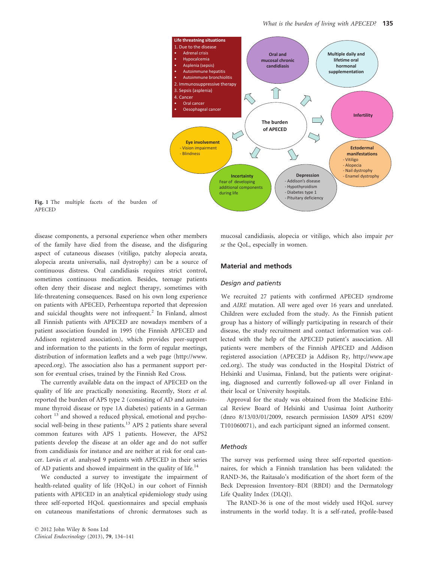

Fig. 1 The multiple facets of the burden of APECED

disease components, a personal experience when other members of the family have died from the disease, and the disfiguring aspect of cutaneous diseases (vitiligo, patchy alopecia areata, alopecia areata universalis, nail dystrophy) can be a source of continuous distress. Oral candidiasis requires strict control, sometimes continuous medication. Besides, teenage patients often deny their disease and neglect therapy, sometimes with life-threatening consequences. Based on his own long experience on patients with APECED, Perheentupa reported that depression and suicidal thoughts were not infrequent.<sup>2</sup> In Finland, almost all Finnish patients with APECED are nowadays members of a patient association founded in 1995 (the Finnish APECED and Addison registered association), which provides peer-support and information to the patients in the form of regular meetings, distribution of information leaflets and a web page (http://www. apeced.org). The association also has a permanent support person for eventual crises, trained by the Finnish Red Cross.

The currently available data on the impact of APECED on the quality of life are practically nonexisting. Recently, Storz et al. reported the burden of APS type 2 (consisting of AD and autoimmune thyroid disease or type 1A diabetes) patients in a German cohort <sup>13</sup> and showed a reduced physical, emotional and psychosocial well-being in these patients.<sup>13</sup> APS 2 patients share several common features with APS 1 patients. However, the APS2 patients develop the disease at an older age and do not suffer from candidiasis for instance and are neither at risk for oral cancer. Løvås et al. analysed 9 patients with APECED in their series of AD patients and showed impairment in the quality of life.<sup>14</sup>

We conducted a survey to investigate the impairment of health-related quality of life (HQoL) in our cohort of Finnish patients with APECED in an analytical epidemiology study using three self-reported HQoL questionnaires and special emphasis on cutaneous manifestations of chronic dermatoses such as

mucosal candidiasis, alopecia or vitiligo, which also impair per se the QoL, especially in women.

## Material and methods

## Design and patients

We recruited 27 patients with confirmed APECED syndrome and AIRE mutation. All were aged over 16 years and unrelated. Children were excluded from the study. As the Finnish patient group has a history of willingly participating in research of their disease, the study recruitment and contact information was collected with the help of the APECED patient's association. All patients were members of the Finnish APECED and Addison registered association (APECED ja Addison Ry, http://www.ape ced.org). The study was conducted in the Hospital District of Helsinki and Uusimaa, Finland, but the patients were originating, diagnosed and currently followed-up all over Finland in their local or University hospitals.

Approval for the study was obtained from the Medicine Ethical Review Board of Helsinki and Uusimaa Joint Authority (dnro 8/13/03/01/2009, research permission IAS09 APS1 6209/ T101060071), and each participant signed an informed consent.

## Methods

The survey was performed using three self-reported questionnaires, for which a Finnish translation has been validated: the RAND-36, the Raitasalo's modification of the short form of the Beck Depression Inventory–BDI (RBDI) and the Dermatology Life Quality Index (DLQI).

The RAND-36 is one of the most widely used HQoL survey instruments in the world today. It is a self-rated, profile-based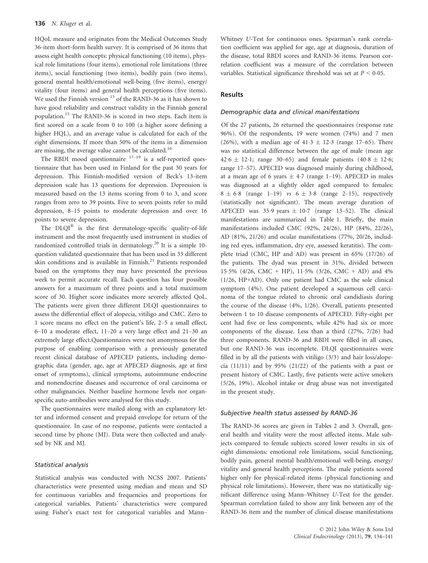HQoL measure and originates from the Medical Outcomes Study 36-item short-form health survey. It is comprised of 36 items that assess eight health concepts: physical functioning (10 items), physical role limitations (four items), emotional role limitations (three items), social functioning (two items), bodily pain (two items), general mental health/emotional well-being (five items), energy/ vitality (four items) and general health perceptions (five items). We used the Finnish version <sup>15</sup> of the RAND-36 as it has shown to have good reliability and construct validity in the Finnish general population.<sup>15</sup> The RAND-36 is scored in two steps. Each item is first scored on a scale from 0 to 100 (a higher score defining a higher HQL), and an average value is calculated for each of the eight dimensions. If more than 50% of the items in a dimension are missing, the average value cannot be calculated.<sup>16</sup>

The RBDI mood questionnaire  $17-19$  is a self-reported questionnaire that has been used in Finland for the past 30 years for depression. This Finnish-modified version of Beck's 13-item depression scale has 13 questions for depression. Depression is measured based on the 13 items scoring from 0 to 3, and score ranges from zero to 39 points. Five to seven points refer to mild depression, 8–15 points to moderate depression and over 16 points to severe depression.

The DLQI<sup>®</sup> is the first dermatology-specific quality-of-life instrument and the most frequently used instrument in studies of randomized controlled trials in dermatology.<sup>20</sup> It is a simple 10question validated questionnaire that has been used in 33 different skin conditions and is available in Finnish.<sup>21</sup> Patients responded based on the symptoms they may have presented the previous week to permit accurate recall. Each question has four possible answers for a maximum of three points and a total maximum score of 30. Higher score indicates more severely affected QoL. The patients were given three different DLQI questionnaires to assess the differential effect of alopecia, vitiligo and CMC. Zero to 1 score means no effect on the patient's life, 2–5 a small effect, 6–10 a moderate effect, 11–20 a very large effect and 21–30 an extremely large effect.Questionnaires were not anonymous for the purpose of enabling comparison with a previously generated recent clinical database of APECED patients, including demographic data (gender, age, age at APECED diagnosis, age at first onset of symptoms), clinical symptoms, autoimmune endocrine and nonendocrine diseases and occurrence of oral carcinoma or other malignancies. Neither baseline hormone levels nor organspecific auto-antibodies were analysed for this study.

The questionnaires were mailed along with an explanatory letter and informed consent and prepaid envelope for return of the questionnaire. In case of no response, patients were contacted a second time by phone (MJ). Data were then collected and analysed by NK and MJ.

# Statistical analysis

Statistical analysis was conducted with NCSS 2007. Patients' characteristics were presented using median and mean and SD for continuous variables and frequencies and proportions for categorical variables. Patients' characteristics were compared using Fisher's exact test for categorical variables and Mann–

Whitney U-Test for continuous ones. Spearman's rank correlation coefficient was applied for age, age at diagnosis, duration of the disease, total RBDI scores and RAND-36 items. Pearson correlation coefficient was a measure of the correlation between variables. Statistical significance threshold was set at  $P \leq 0.05$ .

# Results

#### Demographic data and clinical manifestations

Of the 27 patients, 26 returned the questionnaires (response rate 96%). Of the respondents, 19 were women (74%) and 7 men (26%), with a median age of 41.3  $\pm$  12.3 (range 17–65). There was no statistical difference between the age of male (mean age  $42.6 \pm 12.1$ ; range 30–65) and female patients  $(40.8 \pm 12.6)$ ; range 17–57). APECED was diagnosed mainly during childhood, at a mean age of 6 years  $\pm$  4.7 (range 1–19). APECED in males was diagnosed at a slightly older aged compared to females:  $8 \pm 6.8$  (range 1–19) vs  $6 \pm 3.8$  (range 2–15), respectively (statistically not significant). The mean average duration of APECED was 35.9 years  $\pm$  10.7 (range 13–52). The clinical manifestations are summarized in Table 1. Briefly, the main manifestations included CMC (92%, 24/26), HP (84%, 22/26), AD (81%, 21/26) and ocular manifestations (77%, 20/26, including red eyes, inflammation, dry eye, assessed keratitis). The complete triad (CMC, HP and AD) was present in 65% (17/26) of the patients. The dyad was present in 31%, divided between 155% (4/26, CMC + HP), 115% (3/26, CMC + AD) and 4% (1/26, HP+AD). Only one patient had CMC as the sole clinical symptom (4%). One patient developed a squamous cell carcinoma of the tongue related to chronic oral candidiasis during the course of the disease (4%, 1/26). Overall, patients presented between 1 to 10 disease components of APECED. Fifty-eight per cent had five or less components, while 42% had six or more components of the disease. Less than a third (27%, 7/26) had three components. RAND-36 and RBDI were filled in all cases, but one RAND-36 was incomplete. DLQI questionnaires were filled in by all the patients with vitiligo (3/3) and hair loss/alopecia (11/11) and by 95% (21/22) of the patients with a past or present history of CMC. Lastly, five patients were active smokers (5/26, 19%). Alcohol intake or drug abuse was not investigated in the present study.

## Subjective health status assessed by RAND-36

The RAND-36 scores are given in Tables 2 and 3. Overall, general health and vitality were the most affected items. Male subjects compared to female subjects scored lower results in six of eight dimensions: emotional role limitations, social functioning, bodily pain, general mental health/emotional well-being, energy/ vitality and general health perceptions. The male patients scored higher only for physical-related items (physical functioning and physical role limitations). However, there was no statistically significant difference using Mann–Whitney U-Test for the gender. Spearman correlation failed to show any link between any of the RAND-36 item and the number of clinical disease manifestations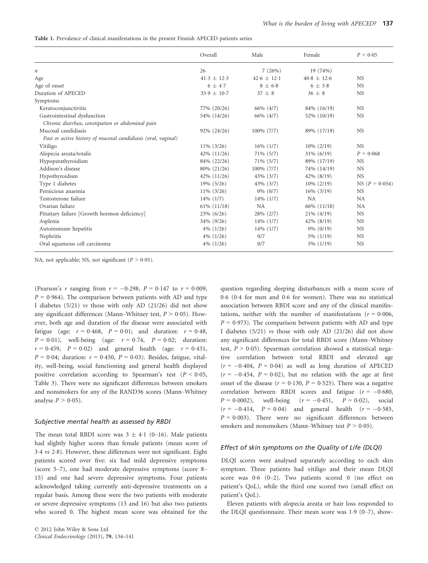Table 1. Prevalence of clinical manifestations in the present Finnish APECED patients series

|                                                               | Overall          | Male            | Female          | P < 0.05           |
|---------------------------------------------------------------|------------------|-----------------|-----------------|--------------------|
| п                                                             | 26               | 7(26%)          | 19 (74%)        |                    |
| Age                                                           | $41.3 \pm 12.3$  | $42.6 \pm 12.1$ | $40.8 \pm 12.6$ | <b>NS</b>          |
| Age of onset                                                  | $6 + 4.7$        | $8 + 6.8$       | $6 \pm 3.8$     | <b>NS</b>          |
| Duration of APECED                                            | $35.9 \pm 10.7$  | $37 \pm 8$      | $36 + 8$        | <b>NS</b>          |
| Symptoms                                                      |                  |                 |                 |                    |
| Keratoconjunctivitis                                          | 77% (20/26)      | 66% (4/7)       | 84% (16/19)     | <b>NS</b>          |
| Gastrointestinal dysfunction                                  | 54% (14/26)      | 66% (4/7)       | 52% (10/19)     | <b>NS</b>          |
| Chronic diarrhea, constipation or abdominal pain              |                  |                 |                 |                    |
| Mucosal candidiasis                                           | 92% (24/26)      | 100% (7/7)      | 89% (17/19)     | <b>NS</b>          |
| Past or active history of mucosal candidiasis (oral, vaginal) |                  |                 |                 |                    |
| Vitiligo                                                      | $11\%$ (3/26)    | $16\%$ (1/7)    | $10\% (2/19)$   | <b>NS</b>          |
| Alopecia areata/totalis                                       | 42% (11/26)      | $71\%$ (5/7)    | $31\% (6/19)$   | $P = 0.068$        |
| Hypoparathyroidism                                            | 84% (22/26)      | $71\%$ (5/7)    | 89% (17/19)     | <b>NS</b>          |
| Addison's disease                                             | 80% (21/26)      | 100% (7/7)      | 74% (14/19)     | <b>NS</b>          |
| Hypothyroidism                                                | 42% (11/26)      | 43% (3/7)       | 42% (8/19)      | <b>NS</b>          |
| Type 1 diabetes                                               | 19% (5/26)       | 43% (3/7)       | $10\% (2/19)$   | NS ( $P = 0.054$ ) |
| Pernicious anaemia                                            | $11\%$ (3/26)    | $0\%$ $(0/7)$   | $16\%$ (3/19)   | <b>NS</b>          |
| Testosterone failure                                          | $14\%$ $(1/7)$   | $14\%$ (1/7)    | <b>NA</b>       | NA                 |
| Ovarian failure                                               | $61\%$ $(11/18)$ | <b>NA</b>       | 66% (11/18)     | <b>NA</b>          |
| Pituitary failure [Growth hormon deficiency]                  | 23% (6/26)       | 28% (2/7)       | $21\%$ (4/19)   | <b>NS</b>          |
| Asplenia                                                      | 34% (9/26)       | $14\%$ (1/7)    | 42% (8/19)      | <b>NS</b>          |
| Autoimmune hepatitis                                          | $4\%$ (1/26)     | $14\%$ $(1/7)$  | $0\%$ (0/19)    | <b>NS</b>          |
| Nephritis                                                     | $4\%$ $(1/26)$   | 0/7             | 5% (1/19)       | <b>NS</b>          |
| Oral squamous cell carcinoma                                  | $4\%$ $(1/26)$   | 0/7             | 5% (1/19)       | <b>NS</b>          |

NA, not applicable; NS, not significant ( $P > 0.05$ ).

(Pearson's *r* ranging from  $r = -0.298$ ,  $P = 0.147$  to  $r = 0.009$ ,  $P = 0.964$ ). The comparison between patients with AD and type I diabetes (5/21) vs those with only AD (21/26) did not show any significant differences (Mann–Whitney test,  $P > 0.05$ ). However, both age and duration of the disease were associated with fatigue (age:  $r = 0.468$ ,  $P = 0.01$ ; and duration:  $r = 0.48$ ,  $P = 0.01$ , well-being (age:  $r = 0.74$ ,  $P = 0.02$ ; duration:  $r = 0.459$ ,  $P = 0.02$ ) and general health (age:  $r = 0.431$ ,  $P = 0.04$ ; duration:  $r = 0.450$ ,  $P = 0.03$ ). Besides, fatigue, vitality, well-being, social functioning and general health displayed positive correlation according to Spearman's test ( $P < 0.05$ , Table 3). There were no significant differences between smokers and nonsmokers for any of the RAND36 scores (Mann–Whitney analyse  $P > 0.05$ ).

#### Subjective mental health as assessed by RBDI

The mean total RBDI score was  $3 \pm 4.1$  (0–16). Male patients had slightly higher scores than female patients (mean score of  $3.4$  vs  $2.8$ ). However, these differences were not significant. Eight patients scored over five: six had mild depressive symptoms (score 5–7), one had moderate depressive symptoms (score 8– 15) and one had severe depressive symptoms. Four patients acknowledged taking currently anti-depressive treatments on a regular basis. Among these were the two patients with moderate or severe depressive symptoms (13 and 16) but also two patients who scored 0. The highest mean score was obtained for the

question regarding sleeping disturbances with a mean score of 06 (04 for men and 06 for women). There was no statistical association between RBDI score and any of the clinical manifestations, neither with the number of manifestations ( $r = 0.006$ ,  $P = 0.973$ ). The comparison between patients with AD and type I diabetes (5/21) vs those with only AD (21/26) did not show any significant differences for total RBDI score (Mann–Whitney test,  $P > 0.05$ ). Spearman correlation showed a statistical negative correlation between total RBDI and elevated age  $(r = -0.404, P = 0.04)$  as well as long duration of APECED  $(r = -0.454, P = 0.02)$ , but no relation with the age at first onset of the disease ( $r = 0.130$ ,  $P = 0.525$ ). There was a negative correlation between RBDI scores and fatigue ( $r = -0.680$ ,  $P = 0.0002$ , well-being  $(r = -0.451, P = 0.02)$ , social  $(r = -0.414, P = 0.04)$  and general health  $(r = -0.585,$  $P = 0.003$ ). There were no significant differences between smokers and nonsmokers (Mann–Whitney test  $P > 0.05$ ).

# Effect of skin symptoms on the Quality of Life (DLQI)

DLQI scores were analysed separately according to each skin symptom. Three patients had vitiligo and their mean DLQI score was  $0.6$   $(0-2)$ . Two patients scored 0 (no effect on patient's QoL), while the third one scored two (small effect on patient's QoL).

Eleven patients with alopecia areata or hair loss responded to the DLQI questionnaire. Their mean score was  $1.9$  (0–7), show-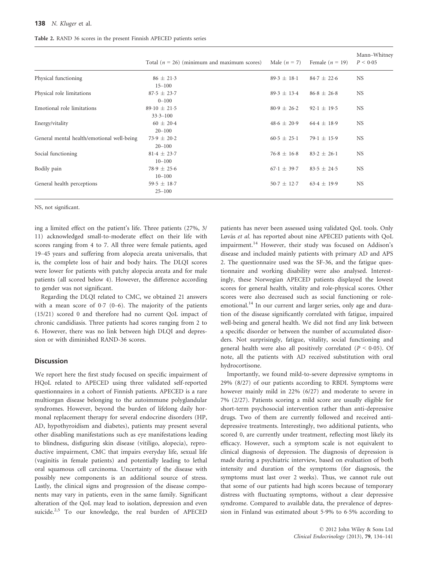| <b>Table 2.</b> RAND 36 scores in the present Finnish APECED patients series |  |  |  |
|------------------------------------------------------------------------------|--|--|--|
|------------------------------------------------------------------------------|--|--|--|

|                                            | Total ( $n = 26$ ) (minimum and maximum scores) | Male $(n = 7)$  | Female $(n = 19)$ | Mann-Whitney<br>P < 0.05 |
|--------------------------------------------|-------------------------------------------------|-----------------|-------------------|--------------------------|
| Physical functioning                       | $86 \pm 21.3$                                   | $89.3 \pm 18.1$ | $84.7 \pm 22.6$   | <b>NS</b>                |
| Physical role limitations                  | $15 - 100$<br>$87.5 \pm 23.7$                   | $89.3 \pm 13.4$ | $86.8 \pm 26.8$   | <b>NS</b>                |
|                                            | $0 - 100$                                       |                 |                   |                          |
| Emotional role limitations                 | $89.10 \pm 21.5$<br>$33.3 - 100$                | $80.9 \pm 26.2$ | $92.1 \pm 19.5$   | <b>NS</b>                |
| Energy/vitality                            | $60 \pm 20.4$<br>$20 - 100$                     | $48.6 \pm 20.9$ | $64.4 \pm 18.9$   | <b>NS</b>                |
| General mental health/emotional well-being | $73.9 \pm 20.2$<br>$20 - 100$                   | $60.5 \pm 25.1$ | $79.1 \pm 15.9$   | <b>NS</b>                |
| Social functioning                         | $81.4 \pm 23.7$<br>$10 - 100$                   | $76.8 \pm 16.8$ | $83.2 \pm 26.1$   | <b>NS</b>                |
| Bodily pain                                | $78.9 \pm 25.6$<br>$10 - 100$                   | $67.1 \pm 39.7$ | $83.5 \pm 24.5$   | <b>NS</b>                |
| General health perceptions                 | $59.5 \pm 18.7$<br>$25 - 100$                   | $50.7 \pm 12.7$ | $63.4 \pm 19.9$   | <b>NS</b>                |

NS, not significant.

ing a limited effect on the patient's life. Three patients (27%, 3/ 11) acknowledged small-to-moderate effect on their life with scores ranging from 4 to 7. All three were female patients, aged 19–45 years and suffering from alopecia areata universalis, that is, the complete loss of hair and body hairs. The DLQI scores were lower for patients with patchy alopecia areata and for male patients (all scored below 4). However, the difference according to gender was not significant.

Regarding the DLQI related to CMC, we obtained 21 answers with a mean score of  $0.7$  (0–6). The majority of the patients (15/21) scored 0 and therefore had no current QoL impact of chronic candidiasis. Three patients had scores ranging from 2 to 6. However, there was no link between high DLQI and depression or with diminished RAND-36 scores.

# Discussion

We report here the first study focused on specific impairment of HQoL related to APECED using three validated self-reported questionnaires in a cohort of Finnish patients. APECED is a rare multiorgan disease belonging to the autoimmune polyglandular syndromes. However, beyond the burden of lifelong daily hormonal replacement therapy for several endocrine disorders (HP, AD, hypothyroidism and diabetes), patients may present several other disabling manifestations such as eye manifestations leading to blindness, disfiguring skin disease (vitiligo, alopecia), reproductive impairment, CMC that impairs everyday life, sexual life (vaginitis in female patients) and potentially leading to lethal oral squamous cell carcinoma. Uncertainty of the disease with possibly new components is an additional source of stress. Lastly, the clinical signs and progression of the disease components may vary in patients, even in the same family. Significant alteration of the QoL may lead to isolation, depression and even suicide.<sup>2,5</sup> To our knowledge, the real burden of APECED

patients has never been assessed using validated QoL tools. Only Løvås et al. has reported about nine APECED patients with QoL impairment.<sup>14</sup> However, their study was focused on Addison's disease and included mainly patients with primary AD and APS 2. The questionnaire used was the SF-36, and the fatigue questionnaire and working disability were also analysed. Interestingly, these Norwegian APECED patients displayed the lowest scores for general health, vitality and role-physical scores. Other scores were also decreased such as social functioning or roleemotional.<sup>14</sup> In our current and larger series, only age and duration of the disease significantly correlated with fatigue, impaired well-being and general health. We did not find any link between a specific disorder or between the number of accumulated disorders. Not surprisingly, fatigue, vitality, social functioning and general health were also all positively correlated ( $P < 0.05$ ). Of note, all the patients with AD received substitution with oral hydrocortisone.

Importantly, we found mild-to-severe depressive symptoms in 29% (8/27) of our patients according to RBDI. Symptoms were however mainly mild in 22% (6/27) and moderate to severe in 7% (2/27). Patients scoring a mild score are usually eligible for short-term psychosocial intervention rather than anti-depressive drugs. Two of them are currently followed and received antidepressive treatments. Interestingly, two additional patients, who scored 0, are currently under treatment, reflecting most likely its efficacy. However, such a symptom scale is not equivalent to clinical diagnosis of depression. The diagnosis of depression is made during a psychiatric interview, based on evaluation of both intensity and duration of the symptoms (for diagnosis, the symptoms must last over 2 weeks). Thus, we cannot rule out that some of our patients had high scores because of temporary distress with fluctuating symptoms, without a clear depressive syndrome. Compared to available data, the prevalence of depression in Finland was estimated about 59% to 65% according to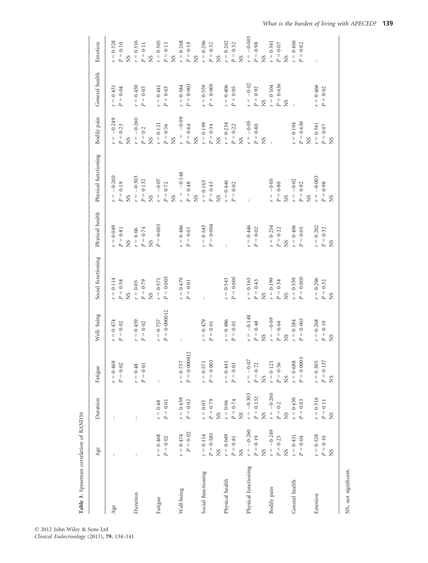| Table 3. Spearman correlation of RAND36 |                        |                        |                |                                         |                               |                 |                           |                   |                                   |                |
|-----------------------------------------|------------------------|------------------------|----------------|-----------------------------------------|-------------------------------|-----------------|---------------------------|-------------------|-----------------------------------|----------------|
|                                         | Age                    | Duration               | Fatigue        | Well-being                              | Social functioning            | Physical health | Physical functioning      | Bodily pain       | General health                    | Emotion        |
| Age                                     | T                      |                        | $r = 0.468$    | $= 0.474$                               | 0.114<br>$r = 1$              | $r = 0.049$     | $-0.260$<br>$r =$         | $r = -0.249$      | $r = 0.431$                       | $r = 0.328$    |
|                                         |                        |                        | $P = 0.02$     | $P=0.02$                                | 0.58<br>$P =$                 | $P = 0.81$      | 0.19<br>$P =$             | $0 - 23$<br>$P =$ | 0.04<br>$\mathop{\parallel}$<br>Ρ | $P = 0.10$     |
|                                         |                        |                        |                |                                         | XS                            | <b>SN</b>       | X <sub>S</sub>            | <b>SN</b>         |                                   | X <sub>S</sub> |
| Duration                                |                        | I                      | $r = 0.48$     | $r = 0.459$                             | $r = 0.05$                    | $r = 0.06$      | $-0.303$<br>$\frac{1}{k}$ | $r = -0.260$      | $r = 0.450$                       | $r = 0.316$    |
|                                         |                        |                        | $P = 0.01$     | $P = 0.02$                              | $P = 0.79$                    | $P = 0.74$      | $P = 0.132$               | $P = 0.2$         | $P = 0.03$                        | $P = 0.11$     |
|                                         |                        |                        |                |                                         | XS                            | <b>NS</b>       | X <sub>S</sub>            | X <sub>S</sub>    |                                   | X <sub>S</sub> |
| Fatigue                                 | $r = 0.468$            | $r = 0.48$             |                | $r = 0.757$                             | 0.571<br>$r =$                | $P = 0.003$     | $-0.07$<br>$r =$ .        | 0.121<br>$r = 1$  | $r = 0.441$                       | $r = 0.305$    |
|                                         | $P=0\mathord{\cdot}02$ | $P = 0.01$             |                | $P = 0.000012$                          | $P = 0.003$                   |                 | $P = 0.72$                | $P=0.56$          | $P = 0.03$                        | $P = 0.13$     |
|                                         |                        |                        |                |                                         |                               |                 | X <sub>S</sub>            | XS                |                                   | XS             |
| Well-being                              | $r = 0.474$            | $r = 0.459$            | $r = 0.757$    | Ī                                       | 0.479<br>$\frac{1}{\epsilon}$ | $r = 0.486$     | $-0.148$<br>$r =$         | $-0.09$<br>$r =$  | $r = 0.584$                       | $r = 0.268$    |
|                                         | $P=0{\cdot}02$         | $P=0\mathord{\cdot}02$ | $P = 0.000012$ |                                         | $P = 0.01$                    | $P = 0.01$      | 0.48<br>$\mathbb{P} =$    | $P=0.64$          | $P = 0.003$                       | $P = 0.19$     |
|                                         |                        |                        |                |                                         |                               |                 | X <sub>S</sub>            | <b>SN</b>         |                                   | XS             |
| Social functioning                      | $r = 0.114$            | $r = 0.05$             | $r = 0.571$    | $= 0.479$                               |                               | $r = 0.543$     | $r = 0.163$               | 0.199<br>$r = 1$  | $r = 0.559$                       | $r = 0.206$    |
|                                         | $P = 0.585$            | $P = 0.79$             | $P = 0.003$    | $0.01$<br>$\parallel$<br>$\overline{P}$ |                               | $P = 0.004$     | 0.43<br>$P =$             | 0.34<br>$P =$     | $P = 0.005$                       | $P = 0.32$     |
|                                         | <b>NS</b>              | <b>NS</b>              |                |                                         |                               |                 | X <sub>S</sub>            | XS                |                                   | X <sub>S</sub> |
| Physical health                         | $r = 0.049$            | $r = 0.06$             | $r = 0.441$    | $r = 0.486$                             | $r = 0.543$                   |                 | $r = 0.446$               | 0.254<br>$r = 1$  | $r = 0.406$                       | $r = 0.202$    |
|                                         | $P = 0.81$             | $P = 0.74$             | $P = 0.03$     | $0.01$<br>$\parallel$<br>$\overline{P}$ | $P = 0.005$                   |                 | 0.02<br>$\parallel$<br>P  | $P = 0.22$        | $P = 0.05$                        | $P = 0.32$     |
|                                         | X <sub>S</sub>         | XS                     |                |                                         |                               |                 |                           | X <sub>S</sub>    |                                   | XS             |
| Physical functioning                    | $r = -0.260$           | $r = -0.303$           | $r = -0.07$    | $-0.148$<br>$r =$                       | 0.163<br>$r =$                | $r = 0.446$     | Ť                         | $r = -0.05$       | $r = -0.02$                       | $r = -0.003$   |
|                                         | $P = 0.19$             | $P = 0.132$            | $P = 0.72$     | $P = 0.48$                              | $P = 0.43$                    | $P=0.02$        |                           | 0.80<br>$P =$     | 0.92<br>$P =$                     | $P=0.98$       |
|                                         | XS                     | XS                     | XS             | X <sub>S</sub>                          | XS                            |                 |                           | <b>SN</b>         | XS                                | XS             |
| Bodily pain                             | $r = -0.249$           | $r = -0.260$           | $r = 0.121$    | $r = -0.09$                             | 0.199<br>$r =$                | $r = 0.254$     | $-0.05$<br>$r =$          | $\mathbf{I}$      | $r = 0.104$                       | $r = 0.361$    |
|                                         | $P = 0.23$             | $P=0\mathord{\cdot}2$  | $P = 0.56$     | $P = 0.64$                              | 0.34<br>$P =$                 | $P = 0.22$      | 0.80<br>$P =$             |                   | $P = 0.636$                       | $P = 0.07$     |
|                                         | X <sub>S</sub>         | <b>SN</b>              | <b>NS</b>      | X <sub>S</sub>                          | <b>SN</b>                     | <b>SN</b>       | X <sub>S</sub>            |                   | X <sub>S</sub>                    | X <sub>S</sub> |
| General health                          | $r = 0.431$            | $r = 0.450$            | $r = 0.688$    | $r = 0.584$                             | 0.559<br>$r = 1$              | $r = 0.406$     | $r = -0.02$               | 0.104<br>$r =$    | $\bar{1}$                         | $r = 0.466$    |
|                                         | $P = 0.04$             | $P = 0.03$             | $P = 0.0003$   | 0.003<br>$\rm H$<br>$\overline{P}$      | 0.005<br>$P =$                | $P = 0.05$      | 0.92<br>$P =$             | 0.636<br>$P =$    |                                   | $P = 0.02$     |
|                                         |                        |                        |                |                                         |                               |                 | <b>NS</b>                 | XS                |                                   |                |
| Emotion                                 | $r = 0.328$            | $r = 0.316$            | $r = 0.305$    | $r = 0.268$                             | $r = 0.206$                   | $r = 0.202$     | $r = -0.003$              | $r = 0.361$       | $r = 0.466$                       | $\overline{1}$ |
|                                         | $P = 0.10$             | $P = 0.11$             | $P = 0.137$    | 0.19<br>$P =$                           | 0.32<br>$P =$                 | 0.32<br>$P =$   | $P = 0.98$                | $P = 0.07$        | $= 0.02$<br>P                     |                |
|                                         | <b>NS</b>              | SN                     | <b>SN</b>      | X <sub>S</sub>                          | X <sub>S</sub>                | SN              | X <sub>S</sub>            | SN                |                                   |                |
|                                         |                        |                        |                |                                         |                               |                 |                           |                   |                                   |                |

© 2012 John Wiley & Sons Ltd Clinical Endocrinology (2013), 79, 134–141 NS, not significant.

NS, not significant.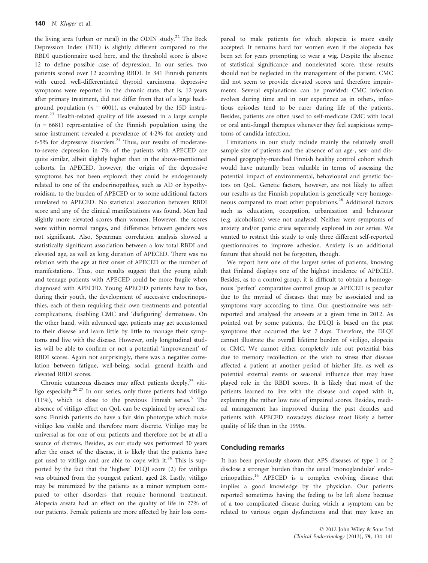the living area (urban or rural) in the ODIN study.<sup>22</sup> The Beck Depression Index (BDI) is slightly different compared to the RBDI questionnaire used here, and the threshold score is above 12 to define possible case of depression. In our series, two patients scored over 12 according RBDI. In 341 Finnish patients with cured well-differentiated thyroid carcinoma, depressive symptoms were reported in the chronic state, that is, 12 years after primary treatment, did not differ from that of a large background population ( $n = 6001$ ), as evaluated by the 15D instrument.<sup>23</sup> Health-related quality of life assessed in a large sample  $(n = 6681)$  representative of the Finnish population using the same instrument revealed a prevalence of 42% for anxiety and 6.5% for depressive disorders.<sup>24</sup> Thus, our results of moderateto-severe depression in 7% of the patients with APECED are quite similar, albeit slightly higher than in the above-mentioned cohorts. In APECED, however, the origin of the depressive symptoms has not been explored: they could be endogenously related to one of the endocrinopathies, such as AD or hypothyroidism, to the burden of APECED or to some additional factors unrelated to APECED. No statistical association between RBDI score and any of the clinical manifestations was found. Men had slightly more elevated scores than women. However, the scores were within normal ranges, and difference between genders was not significant. Also, Spearman correlation analysis showed a statistically significant association between a low total RBDI and elevated age, as well as long duration of APECED. There was no relation with the age at first onset of APECED or the number of manifestations. Thus, our results suggest that the young adult and teenage patients with APECED could be more fragile when diagnosed with APECED. Young APECED patients have to face, during their youth, the development of successive endocrinopathies, each of them requiring their own treatments and potential complications, disabling CMC and 'disfiguring' dermatoses. On the other hand, with advanced age, patients may get accustomed to their disease and learn little by little to manage their symptoms and live with the disease. However, only longitudinal studies will be able to confirm or not a potential 'improvement' of RBDI scores. Again not surprisingly, there was a negative correlation between fatigue, well-being, social, general health and elevated RBDI scores.

Chronic cutaneous diseases may affect patients deeply,<sup>25</sup> vitiligo especially.<sup>26,27</sup> In our series, only three patients had vitiligo (11%), which is close to the previous Finnish series.<sup>5</sup> The absence of vitiligo effect on QoL can be explained by several reasons: Finnish patients do have a fair skin phototype which make vitiligo less visible and therefore more discrete. Vitiligo may be universal as for one of our patients and therefore not be at all a source of distress. Besides, as our study was performed 30 years after the onset of the disease, it is likely that the patients have got used to vitiligo and are able to cope with it.<sup>26</sup> This is supported by the fact that the 'highest' DLQI score (2) for vitiligo was obtained from the youngest patient, aged 28. Lastly, vitiligo may be minimized by the patients as a minor symptom compared to other disorders that require hormonal treatment. Alopecia areata had an effect on the quality of life in 27% of our patients. Female patients are more affected by hair loss compared to male patients for which alopecia is more easily accepted. It remains hard for women even if the alopecia has been set for years prompting to wear a wig. Despite the absence of statistical significance and nonelevated score, these results should not be neglected in the management of the patient. CMC did not seem to provide elevated scores and therefore impairments. Several explanations can be provided: CMC infection evolves during time and in our experience as in others, infectious episodes tend to be rarer during life of the patients. Besides, patients are often used to self-medicate CMC with local or oral anti-fungal therapies whenever they feel suspicious symptoms of candida infection.

Limitations in our study include mainly the relatively small sample size of patients and the absence of an age-, sex- and dispersed geography-matched Finnish healthy control cohort which would have naturally been valuable in terms of assessing the potential impact of environmental, behavioural and genetic factors on QoL. Genetic factors, however, are not likely to affect our results as the Finnish population is genetically very homogeneous compared to most other populations.<sup>28</sup> Additional factors such as education, occupation, urbanisation and behaviour (e.g. alcoholism) were not analysed. Neither were symptoms of anxiety and/or panic crisis separately explored in our series. We wanted to restrict this study to only three different self-reported questionnaires to improve adhesion. Anxiety is an additional feature that should not be forgotten, though.

We report here one of the largest series of patients, knowing that Finland displays one of the highest incidence of APECED. Besides, as to a control group, it is difficult to obtain a homogenous 'perfect' comparative control group as APECED is peculiar due to the myriad of diseases that may be associated and as symptoms vary according to time. Our questionnaire was selfreported and analysed the answers at a given time in 2012. As pointed out by some patients, the DLQI is based on the past symptoms that occurred the last 7 days. Therefore, the DLQI cannot illustrate the overall lifetime burden of vitiligo, alopecia or CMC. We cannot either completely rule out potential bias due to memory recollection or the wish to stress that disease affected a patient at another period of his/her life, as well as potential external events or seasonal influence that may have played role in the RBDI scores. It is likely that most of the patients learned to live with the disease and coped with it, explaining the rather low rate of impaired scores. Besides, medical management has improved during the past decades and patients with APECED nowadays disclose most likely a better quality of life than in the 1990s.

# Concluding remarks

It has been previously shown that APS diseases of type 1 or 2 disclose a stronger burden than the usual 'monoglandular' endo $crinopathies.<sup>14</sup>$  APECED is a complex evolving disease that implies a good knowledge by the physician. Our patients reported sometimes having the feeling to be left alone because of a too complicated disease during which a symptom can be related to various organ dysfunctions and that may leave an